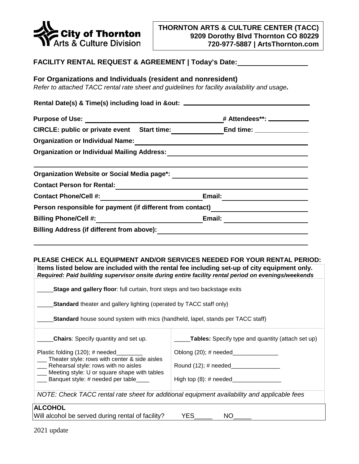

# **FACILITY RENTAL REQUEST & AGREEMENT | Today's Date:**

### **For Organizations and Individuals (resident and nonresident)**

*Refer to attached TACC rental rate sheet and guidelines for facility availability and usage.* 

| Rental Date(s) & Time(s) including load in &out: ______    |                               |
|------------------------------------------------------------|-------------------------------|
| Purpose of Use: <u>____________</u>                        | # Attendees**: ______________ |
| CIRCLE: public or private event Start time:                | End time: _______________     |
| <b>Organization or Individual Name:</b>                    |                               |
| <b>Organization or Individual Mailing Address:</b>         |                               |
|                                                            |                               |
| Organization Website or Social Media page*:                |                               |
| <b>Contact Person for Rental:</b>                          |                               |
| <b>Contact Phone/Cell #:</b>                               | Email:                        |
| Person responsible for payment (if different from contact) |                               |
| Billing Phone/Cell #: \\esseq\\end{math}                   | Email:                        |
| <b>Billing Address (if different from above):</b>          |                               |

#### **PLEASE CHECK ALL EQUIPMENT AND/OR SERVICES NEEDED FOR YOUR RENTAL PERIOD:**

| Items listed below are included with the rental fee including set-up of city equipment only.                                                 |                                                          |  |
|----------------------------------------------------------------------------------------------------------------------------------------------|----------------------------------------------------------|--|
| Required: Paid building supervisor onsite during entire facility rental period on evenings/weekends                                          |                                                          |  |
| Stage and gallery floor: full curtain, front steps and two backstage exits                                                                   |                                                          |  |
| <b>Standard</b> theater and gallery lighting (operated by TACC staff only)                                                                   |                                                          |  |
| <b>Standard</b> house sound system with mics (handheld, lapel, stands per TACC staff)                                                        |                                                          |  |
| <b>Chairs</b> : Specify quantity and set up.                                                                                                 | <b>Tables:</b> Specify type and quantity (attach set up) |  |
| Plastic folding (120); # needed                                                                                                              | Oblong $(20)$ ; # needed_                                |  |
| Theater style: rows with center & side aisles<br>___ Rehearsal style: rows with no aisles<br>__ Meeting style: U or square shape with tables | Round $(12)$ ; # needed $\qquad$                         |  |
| ___ Banquet style: # needed per table____                                                                                                    | High top $(8)$ : # needed_                               |  |
| NOTE: Check TACC rental rate sheet for additional equipment availability and applicable fees                                                 |                                                          |  |
| <b>ALCOHOL</b>                                                                                                                               |                                                          |  |

Will alcohol be served during rental of facility? YES\_\_\_\_\_\_ NO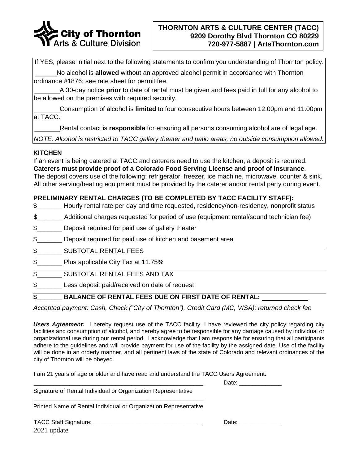

If YES, please initial next to the following statements to confirm you understanding of Thornton policy.

No alcohol is **allowed** without an approved alcohol permit in accordance with Thornton ordinance #1876; see rate sheet for permit fee.

\_\_\_\_\_\_\_A 30-day notice **prior** to date of rental must be given and fees paid in full for any alcohol to be allowed on the premises with required security.

\_\_\_\_\_\_\_Consumption of alcohol is **limited** to four consecutive hours between 12:00pm and 11:00pm at TACC.

\_\_\_\_\_\_\_Rental contact is **responsible** for ensuring all persons consuming alcohol are of legal age.

*NOTE: Alcohol is restricted to TACC gallery theater and patio areas; no outside consumption allowed.* 

#### **KITCHEN**

If an event is being catered at TACC and caterers need to use the kitchen, a deposit is required. **Caterers must provide proof of a Colorado Food Serving License and proof of insurance**. The deposit covers use of the following: refrigerator, freezer, ice machine, microwave, counter & sink. All other serving/heating equipment must be provided by the caterer and/or rental party during event.

## **PRELIMINARY RENTAL CHARGES (TO BE COMPLETED BY TACC FACILITY STAFF):**

- \$\_\_\_\_\_\_\_ Hourly rental rate per day and time requested, residency/non-residency, nonprofit status
- \$\_\_\_\_\_\_\_ Additional charges requested for period of use (equipment rental/sound technician fee)
- \$\_\_\_\_\_\_\_\_\_ Deposit required for paid use of gallery theater
- \$ Deposit required for paid use of kitchen and basement area
- \$\_\_\_\_\_\_\_ SUBTOTAL RENTAL FEES
- \$\_\_\_\_\_\_\_ Plus applicable City Tax at 11.75%
- $\overline{\$}$  SUBTOTAL RENTAL FEES AND TAX
- \$\_\_\_\_\_\_\_ Less deposit paid/received on date of request

## **\$\_\_\_\_\_\_\_ BALANCE OF RENTAL FEES DUE ON FIRST DATE OF RENTAL:**

*Accepted payment: Cash, Check ("City of Thornton"), Credit Card (MC, VISA); returned check fee* 

*Users Agreement:* I hereby request use of the TACC facility. I have reviewed the city policy regarding city facilities and consumption of alcohol, and hereby agree to be responsible for any damage caused by individual or organizational use during our rental period. I acknowledge that I am responsible for ensuring that all participants adhere to the guidelines and will provide payment for use of the facility by the assigned date. Use of the facility will be done in an orderly manner, and all pertinent laws of the state of Colorado and relevant ordinances of the city of Thornton will be obeyed.

I am 21 years of age or older and have read and understand the TACC Users Agreement:

Signature of Rental Individual or Organization Representative \_\_\_\_\_\_\_\_\_\_\_\_\_\_\_\_\_\_\_\_\_\_\_\_\_\_\_\_\_\_\_\_\_\_\_\_\_\_\_\_\_\_\_\_\_\_\_\_\_\_\_\_

Printed Name of Rental Individual or Organization Representative

2021 update TACC Staff Signature: \_\_\_\_\_\_\_\_\_\_\_\_\_\_\_\_\_\_\_\_\_\_\_\_\_\_\_\_\_\_\_\_ Date: \_\_\_\_\_\_\_\_\_\_\_\_\_

Date: